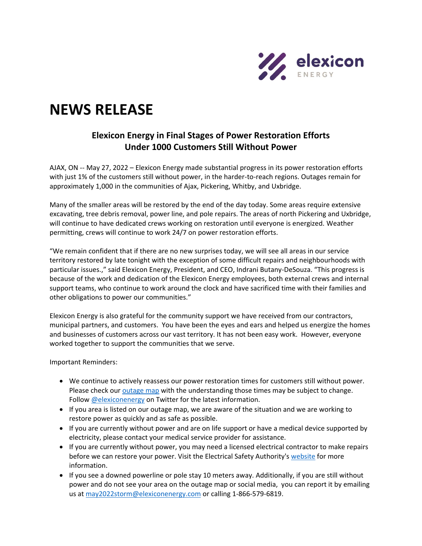

## **NEWS RELEASE**

## **Elexicon Energy in Final Stages of Power Restoration Efforts Under 1000 Customers Still Without Power**

AJAX, ON -- May 27, 2022 – Elexicon Energy made substantial progress in its power restoration efforts with just 1% of the customers still without power, in the harder-to-reach regions. Outages remain for approximately 1,000 in the communities of Ajax, Pickering, Whitby, and Uxbridge.

Many of the smaller areas will be restored by the end of the day today. Some areas require extensive excavating, tree debris removal, power line, and pole repairs. The areas of north Pickering and Uxbridge, will continue to have dedicated crews working on restoration until everyone is energized. Weather permitting, crews will continue to work 24/7 on power restoration efforts.

"We remain confident that if there are no new surprises today, we will see all areas in our service territory restored by late tonight with the exception of some difficult repairs and neighbourhoods with particular issues.," said Elexicon Energy, President, and CEO, Indrani Butany-DeSouza. "This progress is because of the work and dedication of the Elexicon Energy employees, both external crews and internal support teams, who continue to work around the clock and have sacrificed time with their families and other obligations to power our communities."

Elexicon Energy is also grateful for the community support we have received from our contractors, municipal partners, and customers. You have been the eyes and ears and helped us energize the homes and businesses of customers across our vast territory. It has not been easy work. However, everyone worked together to support the communities that we serve.

Important Reminders:

- We continue to actively reassess our power restoration times for customers still without power. Please check ou[r outage map](https://elexiconenergy.com/outages) with the understanding those times may be subject to change. Follow [@elexiconenergy](https://twitter.com/ElexiconEnergy) on Twitter for the latest information.
- If you area is listed on our outage map, we are aware of the situation and we are working to restore power as quickly and as safe as possible.
- If you are currently without power and are on life support or have a medical device supported by electricity, please contact your medical service provider for assistance.
- If you are currently without power, you may need a licensed electrical contractor to make repairs before we can restore your power. Visit the Electrical Safety Authority's [website](https://esasafe.com/safety/storm-safety/restoring-power/) for more information.
- If you see a downed powerline or pole stay 10 meters away. Additionally, if you are still without power and do not see your area on the outage map or social media, you can report it by emailing us at [may2022storm@elexiconenergy.com](mailto:may2022storm@elexiconenergy.com) or calling 1-866-579-6819.